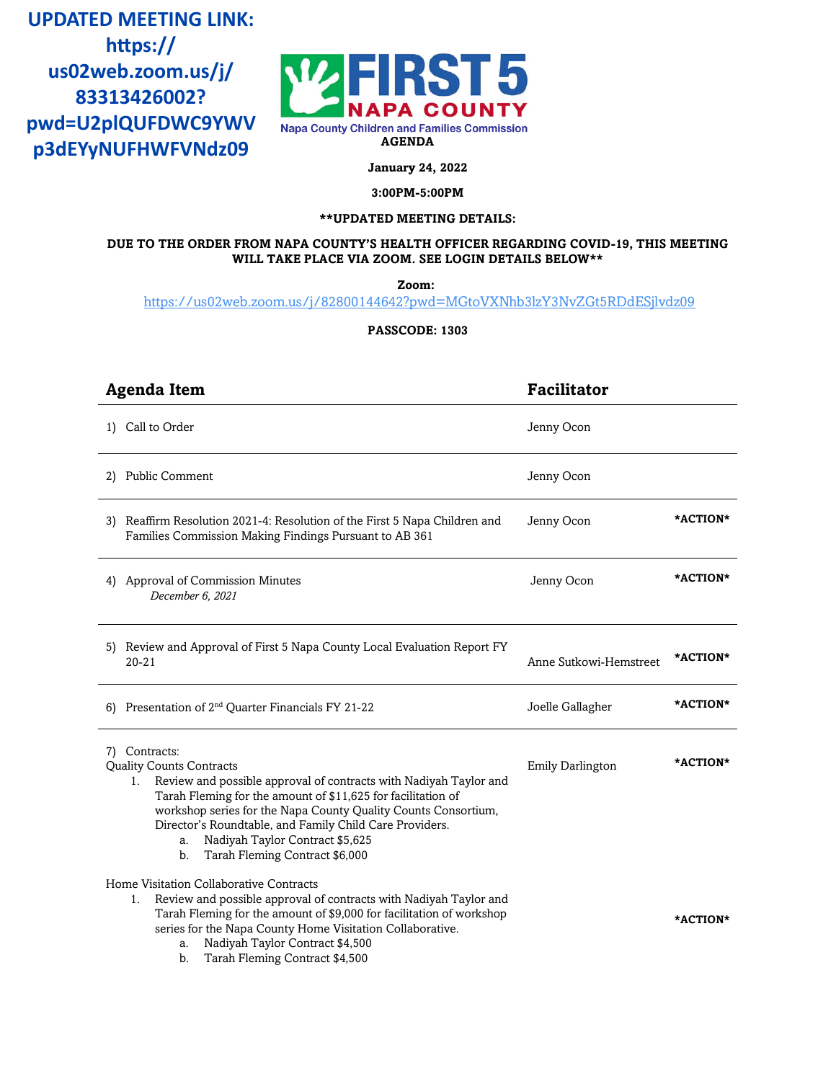**AGENDA p3dEYyNUFHWFVNdz09UPDATED MEETING LINK:** https:// **us02web.zoom.us/j/ 83313426002? pwd=U2plQUFDWC9YWV**



**January 24, 2022**

**3:00PM-5:00PM**

# **\*\*UPDATED MEETING DETAILS:**

#### **DUE TO THE ORDER FROM NAPA COUNTY'S HEALTH OFFICER REGARDING COVID-19, THIS MEETING WILL TAKE PLACE VIA ZOOM. SEE LOGIN DETAILS BELOW\*\***

**Zoom:**

<https://us02web.zoom.us/j/82800144642?pwd=MGtoVXNhb3lzY3NvZGt5RDdESjlvdz09>

**PASSCODE: 1303**

| <b>Agenda Item</b>                                                                                                                                                                                                                                                                                                                                                                                        | <b>Facilitator</b>      |          |
|-----------------------------------------------------------------------------------------------------------------------------------------------------------------------------------------------------------------------------------------------------------------------------------------------------------------------------------------------------------------------------------------------------------|-------------------------|----------|
| 1) Call to Order                                                                                                                                                                                                                                                                                                                                                                                          | Jenny Ocon              |          |
| 2) Public Comment                                                                                                                                                                                                                                                                                                                                                                                         | Jenny Ocon              |          |
| 3) Reaffirm Resolution 2021-4: Resolution of the First 5 Napa Children and<br>Families Commission Making Findings Pursuant to AB 361                                                                                                                                                                                                                                                                      | Jenny Ocon              | *ACTION* |
| 4) Approval of Commission Minutes<br>December 6, 2021                                                                                                                                                                                                                                                                                                                                                     | Jenny Ocon              | *ACTION* |
| 5) Review and Approval of First 5 Napa County Local Evaluation Report FY<br>$20 - 21$                                                                                                                                                                                                                                                                                                                     | Anne Sutkowi-Hemstreet  | *ACTION* |
| 6) Presentation of 2 <sup>nd</sup> Quarter Financials FY 21-22                                                                                                                                                                                                                                                                                                                                            | Joelle Gallagher        | *ACTION* |
| 7) Contracts:<br><b>Quality Counts Contracts</b><br>Review and possible approval of contracts with Nadiyah Taylor and<br>1.<br>Tarah Fleming for the amount of \$11,625 for facilitation of<br>workshop series for the Napa County Quality Counts Consortium,<br>Director's Roundtable, and Family Child Care Providers.<br>Nadiyah Taylor Contract \$5,625<br>a.<br>Tarah Fleming Contract \$6,000<br>b. | <b>Emily Darlington</b> | *ACTION* |
| Home Visitation Collaborative Contracts<br>Review and possible approval of contracts with Nadiyah Taylor and<br>1.<br>Tarah Fleming for the amount of \$9,000 for facilitation of workshop<br>series for the Napa County Home Visitation Collaborative.<br>Nadiyah Taylor Contract \$4,500<br>a.<br>Tarah Fleming Contract \$4,500<br>b.                                                                  |                         | *ACTION* |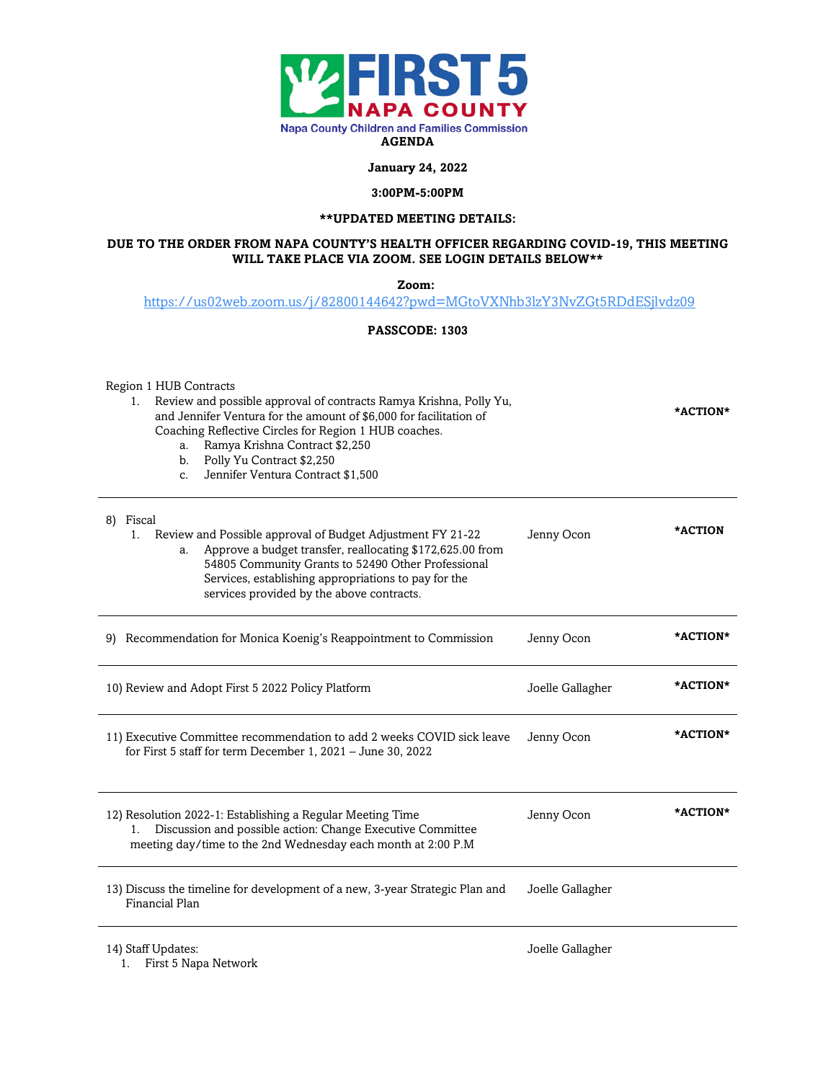

**January 24, 2022**

#### **3:00PM-5:00PM**

### **\*\*UPDATED MEETING DETAILS:**

#### **DUE TO THE ORDER FROM NAPA COUNTY'S HEALTH OFFICER REGARDING COVID-19, THIS MEETING WILL TAKE PLACE VIA ZOOM. SEE LOGIN DETAILS BELOW\*\***

**Zoom:**

<https://us02web.zoom.us/j/82800144642?pwd=MGtoVXNhb3lzY3NvZGt5RDdESjlvdz09>

### **PASSCODE: 1303**

Region 1 HUB Contracts

- 1. Review and possible approval of contracts Ramya Krishna, Polly Yu, and Jennifer Ventura for the amount of \$6,000 for facilitation of Coaching Reflective Circles for Region 1 HUB coaches. a. Ramya Krishna Contract \$2,250 **\*ACTION\***
	- b. Polly Yu Contract \$2,250
	- c. Jennifer Ventura Contract \$1,500

| Fiscal<br>8)<br>Review and Possible approval of Budget Adjustment FY 21-22<br>1.<br>Approve a budget transfer, reallocating \$172,625.00 from<br>a.<br>54805 Community Grants to 52490 Other Professional<br>Services, establishing appropriations to pay for the<br>services provided by the above contracts. | Jenny Ocon       | *ACTION  |
|----------------------------------------------------------------------------------------------------------------------------------------------------------------------------------------------------------------------------------------------------------------------------------------------------------------|------------------|----------|
| Recommendation for Monica Koenig's Reappointment to Commission<br>9)                                                                                                                                                                                                                                           | Jenny Ocon       | *ACTION* |
| 10) Review and Adopt First 5 2022 Policy Platform                                                                                                                                                                                                                                                              | Joelle Gallagher | *ACTION* |
| 11) Executive Committee recommendation to add 2 weeks COVID sick leave<br>for First 5 staff for term December 1, 2021 - June 30, 2022                                                                                                                                                                          | Jenny Ocon       | *ACTION* |
| 12) Resolution 2022-1: Establishing a Regular Meeting Time<br>Discussion and possible action: Change Executive Committee<br>$1_{-}$<br>meeting day/time to the 2nd Wednesday each month at 2:00 P.M                                                                                                            | Jenny Ocon       | *ACTION* |
| 13) Discuss the timeline for development of a new, 3-year Strategic Plan and<br>Financial Plan                                                                                                                                                                                                                 | Joelle Gallagher |          |

14) Staff Updates:

1. First 5 Napa Network

Joelle Gallagher